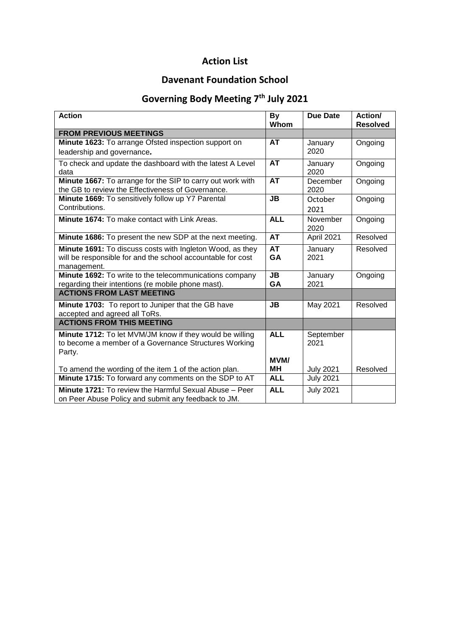### **Action List**

## **Davenant Foundation School**

# **Governing Body Meeting 7th July 2021**

| <b>Action</b>                                               | <b>By</b><br>Whom | <b>Due Date</b>  | Action/<br><b>Resolved</b> |
|-------------------------------------------------------------|-------------------|------------------|----------------------------|
| <b>FROM PREVIOUS MEETINGS</b>                               |                   |                  |                            |
| Minute 1623: To arrange Ofsted inspection support on        | <b>AT</b>         | January          | Ongoing                    |
| leadership and governance.                                  |                   | 2020             |                            |
| To check and update the dashboard with the latest A Level   | <b>AT</b>         | January          | Ongoing                    |
| data                                                        |                   | 2020             |                            |
| Minute 1667: To arrange for the SIP to carry out work with  | <b>AT</b>         | December         | Ongoing                    |
| the GB to review the Effectiveness of Governance.           |                   | 2020             |                            |
| Minute 1669: To sensitively follow up Y7 Parental           | <b>JB</b>         | October          | Ongoing                    |
| Contributions.                                              |                   | 2021             |                            |
| Minute 1674: To make contact with Link Areas.               | <b>ALL</b>        | November<br>2020 | Ongoing                    |
| Minute 1686: To present the new SDP at the next meeting.    | <b>AT</b>         | April 2021       | Resolved                   |
| Minute 1691: To discuss costs with Ingleton Wood, as they   | <b>AT</b>         | January          | Resolved                   |
| will be responsible for and the school accountable for cost | <b>GA</b>         | 2021             |                            |
| management.                                                 |                   |                  |                            |
| Minute 1692: To write to the telecommunications company     | <b>JB</b>         | January          | Ongoing                    |
| regarding their intentions (re mobile phone mast).          | GA                | 2021             |                            |
| <b>ACTIONS FROM LAST MEETING</b>                            |                   |                  |                            |
| Minute 1703: To report to Juniper that the GB have          | <b>JB</b>         | May 2021         | Resolved                   |
| accepted and agreed all ToRs.                               |                   |                  |                            |
| <b>ACTIONS FROM THIS MEETING</b>                            |                   |                  |                            |
| Minute 1712: To let MVM/JM know if they would be willing    | <b>ALL</b>        | September        |                            |
| to become a member of a Governance Structures Working       |                   | 2021             |                            |
| Party.                                                      |                   |                  |                            |
|                                                             | MVM/              |                  |                            |
| To amend the wording of the item 1 of the action plan.      | MН                | <b>July 2021</b> | Resolved                   |
| Minute 1715: To forward any comments on the SDP to AT       | <b>ALL</b>        | <b>July 2021</b> |                            |
| Minute 1721: To review the Harmful Sexual Abuse - Peer      | <b>ALL</b>        | <b>July 2021</b> |                            |
| on Peer Abuse Policy and submit any feedback to JM.         |                   |                  |                            |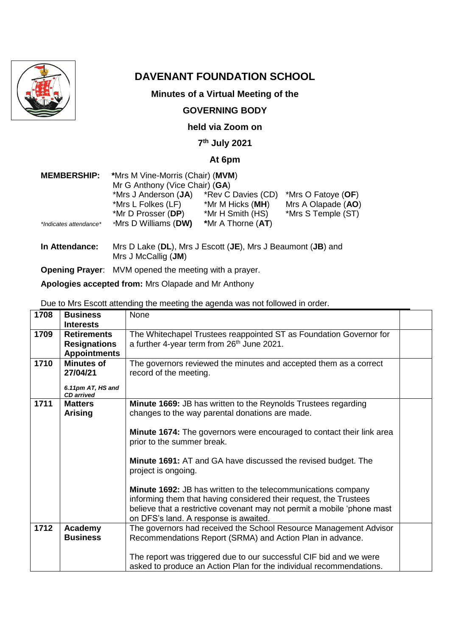

# **DAVENANT FOUNDATION SCHOOL**

#### **Minutes of a Virtual Meeting of the**

#### **GOVERNING BODY**

#### **held via Zoom on**

#### **7 th July 2021**

#### **At 6pm**

| <b>MEMBERSHIP:</b>                       | *Mrs M Vine-Morris (Chair) (MVM)<br>Mr G Anthony (Vice Chair) (GA)                       |                                                                                 |                                                                |
|------------------------------------------|------------------------------------------------------------------------------------------|---------------------------------------------------------------------------------|----------------------------------------------------------------|
|                                          | *Mrs J Anderson (JA)<br>*Mrs L Folkes (LF)<br>*Mr D Prosser (DP)<br>*Mrs D Williams (DW) | *Rev C Davies (CD)<br>*Mr M Hicks (MH)<br>*Mr H Smith (HS)<br>*Mr A Thorne (AT) | *Mrs O Fatoye (OF)<br>Mrs A Olapade (AO)<br>*Mrs S Temple (ST) |
| *Indicates attendance*<br>In Attendance: | Mrs D Lake (DL), Mrs J Escott (JE), Mrs J Beaumont (JB) and<br>Mrs J McCallig (JM)       |                                                                                 |                                                                |

**Opening Prayer**: MVM opened the meeting with a prayer.

**Apologies accepted from:** Mrs Olapade and Mr Anthony

|               | Due to Mrs Escott attending the meeting the agenda was not followed in order. |
|---------------|-------------------------------------------------------------------------------|
| I709 Ducinose | $N_{\rm ann}$                                                                 |

| 1708 | <b>Business</b><br><b>Interests</b>                                     | None                                                                                                                                                                                                                                                                                                                                                                                                                                                                                                                                                                                     |  |
|------|-------------------------------------------------------------------------|------------------------------------------------------------------------------------------------------------------------------------------------------------------------------------------------------------------------------------------------------------------------------------------------------------------------------------------------------------------------------------------------------------------------------------------------------------------------------------------------------------------------------------------------------------------------------------------|--|
| 1709 | <b>Retirements</b><br><b>Resignations</b><br><b>Appointments</b>        | The Whitechapel Trustees reappointed ST as Foundation Governor for<br>a further 4-year term from 26 <sup>th</sup> June 2021.                                                                                                                                                                                                                                                                                                                                                                                                                                                             |  |
| 1710 | <b>Minutes of</b><br>27/04/21<br>6.11pm AT, HS and<br><b>CD</b> arrived | The governors reviewed the minutes and accepted them as a correct<br>record of the meeting.                                                                                                                                                                                                                                                                                                                                                                                                                                                                                              |  |
| 1711 | <b>Matters</b><br><b>Arising</b>                                        | Minute 1669: JB has written to the Reynolds Trustees regarding<br>changes to the way parental donations are made.<br>Minute 1674: The governors were encouraged to contact their link area<br>prior to the summer break.<br><b>Minute 1691:</b> AT and GA have discussed the revised budget. The<br>project is ongoing.<br><b>Minute 1692:</b> JB has written to the telecommunications company<br>informing them that having considered their request, the Trustees<br>believe that a restrictive covenant may not permit a mobile 'phone mast<br>on DFS's land. A response is awaited. |  |
| 1712 | Academy<br><b>Business</b>                                              | The governors had received the School Resource Management Advisor<br>Recommendations Report (SRMA) and Action Plan in advance.<br>The report was triggered due to our successful CIF bid and we were<br>asked to produce an Action Plan for the individual recommendations.                                                                                                                                                                                                                                                                                                              |  |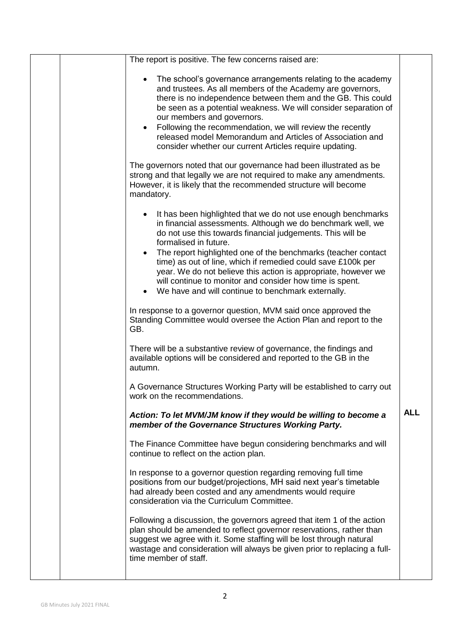|  | The report is positive. The few concerns raised are:                                                                                                                                                                                                                                                                                                                                                                                                                                                                                                                           |            |
|--|--------------------------------------------------------------------------------------------------------------------------------------------------------------------------------------------------------------------------------------------------------------------------------------------------------------------------------------------------------------------------------------------------------------------------------------------------------------------------------------------------------------------------------------------------------------------------------|------------|
|  | The school's governance arrangements relating to the academy<br>$\bullet$<br>and trustees. As all members of the Academy are governors,<br>there is no independence between them and the GB. This could<br>be seen as a potential weakness. We will consider separation of<br>our members and governors.<br>Following the recommendation, we will review the recently<br>$\bullet$<br>released model Memorandum and Articles of Association and<br>consider whether our current Articles require updating.                                                                     |            |
|  | The governors noted that our governance had been illustrated as be<br>strong and that legally we are not required to make any amendments.<br>However, it is likely that the recommended structure will become<br>mandatory.                                                                                                                                                                                                                                                                                                                                                    |            |
|  | It has been highlighted that we do not use enough benchmarks<br>$\bullet$<br>in financial assessments. Although we do benchmark well, we<br>do not use this towards financial judgements. This will be<br>formalised in future.<br>The report highlighted one of the benchmarks (teacher contact<br>$\bullet$<br>time) as out of line, which if remedied could save £100k per<br>year. We do not believe this action is appropriate, however we<br>will continue to monitor and consider how time is spent.<br>We have and will continue to benchmark externally.<br>$\bullet$ |            |
|  | In response to a governor question, MVM said once approved the<br>Standing Committee would oversee the Action Plan and report to the<br>GB.                                                                                                                                                                                                                                                                                                                                                                                                                                    |            |
|  | There will be a substantive review of governance, the findings and<br>available options will be considered and reported to the GB in the<br>autumn.                                                                                                                                                                                                                                                                                                                                                                                                                            |            |
|  | A Governance Structures Working Party will be established to carry out<br>work on the recommendations.                                                                                                                                                                                                                                                                                                                                                                                                                                                                         |            |
|  | Action: To let MVM/JM know if they would be willing to become a<br>member of the Governance Structures Working Party.                                                                                                                                                                                                                                                                                                                                                                                                                                                          | <b>ALL</b> |
|  | The Finance Committee have begun considering benchmarks and will<br>continue to reflect on the action plan.                                                                                                                                                                                                                                                                                                                                                                                                                                                                    |            |
|  | In response to a governor question regarding removing full time<br>positions from our budget/projections, MH said next year's timetable<br>had already been costed and any amendments would require<br>consideration via the Curriculum Committee.                                                                                                                                                                                                                                                                                                                             |            |
|  | Following a discussion, the governors agreed that item 1 of the action<br>plan should be amended to reflect governor reservations, rather than<br>suggest we agree with it. Some staffing will be lost through natural<br>wastage and consideration will always be given prior to replacing a full-<br>time member of staff.                                                                                                                                                                                                                                                   |            |
|  |                                                                                                                                                                                                                                                                                                                                                                                                                                                                                                                                                                                |            |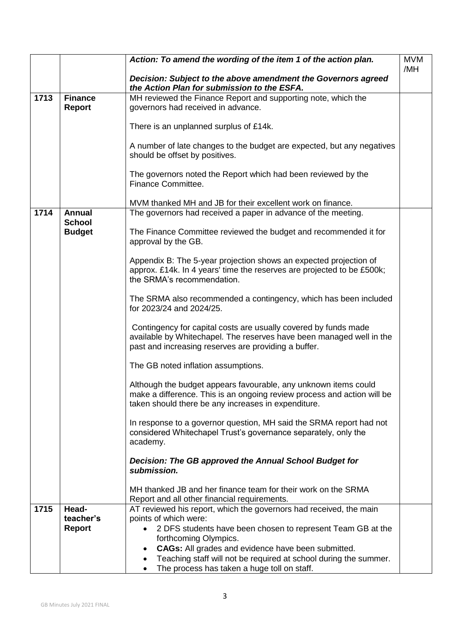|      |                                 | Action: To amend the wording of the item 1 of the action plan.                                                                                                                                    | <b>MVM</b><br>/MH |
|------|---------------------------------|---------------------------------------------------------------------------------------------------------------------------------------------------------------------------------------------------|-------------------|
|      |                                 | Decision: Subject to the above amendment the Governors agreed<br>the Action Plan for submission to the ESFA.                                                                                      |                   |
| 1713 | <b>Finance</b><br><b>Report</b> | MH reviewed the Finance Report and supporting note, which the<br>governors had received in advance.                                                                                               |                   |
|      |                                 | There is an unplanned surplus of £14k.                                                                                                                                                            |                   |
|      |                                 | A number of late changes to the budget are expected, but any negatives<br>should be offset by positives.                                                                                          |                   |
|      |                                 | The governors noted the Report which had been reviewed by the<br>Finance Committee.                                                                                                               |                   |
|      |                                 | MVM thanked MH and JB for their excellent work on finance.                                                                                                                                        |                   |
| 1714 | <b>Annual</b>                   | The governors had received a paper in advance of the meeting.                                                                                                                                     |                   |
|      | <b>School</b><br><b>Budget</b>  | The Finance Committee reviewed the budget and recommended it for<br>approval by the GB.                                                                                                           |                   |
|      |                                 | Appendix B: The 5-year projection shows an expected projection of<br>approx. £14k. In 4 years' time the reserves are projected to be £500k;<br>the SRMA's recommendation.                         |                   |
|      |                                 | The SRMA also recommended a contingency, which has been included<br>for 2023/24 and 2024/25.                                                                                                      |                   |
|      |                                 | Contingency for capital costs are usually covered by funds made<br>available by Whitechapel. The reserves have been managed well in the<br>past and increasing reserves are providing a buffer.   |                   |
|      |                                 | The GB noted inflation assumptions.                                                                                                                                                               |                   |
|      |                                 | Although the budget appears favourable, any unknown items could<br>make a difference. This is an ongoing review process and action will be<br>taken should there be any increases in expenditure. |                   |
|      |                                 | In response to a governor question, MH said the SRMA report had not<br>considered Whitechapel Trust's governance separately, only the<br>academy.                                                 |                   |
|      |                                 | Decision: The GB approved the Annual School Budget for<br>submission.                                                                                                                             |                   |
|      |                                 | MH thanked JB and her finance team for their work on the SRMA<br>Report and all other financial requirements.                                                                                     |                   |
| 1715 | Head-<br>teacher's              | AT reviewed his report, which the governors had received, the main<br>points of which were:                                                                                                       |                   |
|      | <b>Report</b>                   | 2 DFS students have been chosen to represent Team GB at the<br>$\bullet$                                                                                                                          |                   |
|      |                                 | forthcoming Olympics.                                                                                                                                                                             |                   |
|      |                                 | <b>CAGs:</b> All grades and evidence have been submitted.<br>$\bullet$<br>Teaching staff will not be required at school during the summer.                                                        |                   |
|      |                                 | The process has taken a huge toll on staff.                                                                                                                                                       |                   |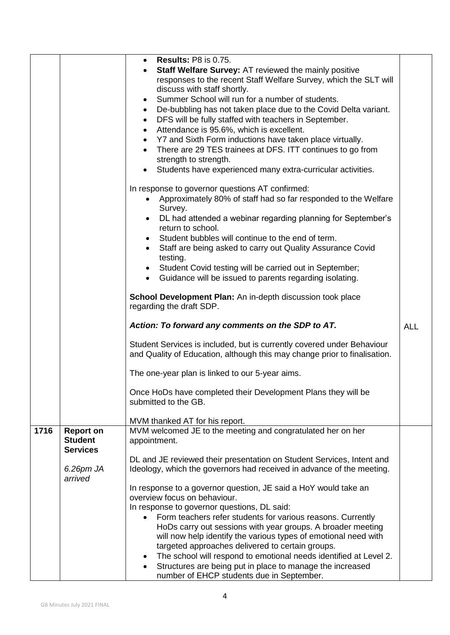|      |                                                       | <b>Results: P8 is 0.75.</b><br>$\bullet$<br>Staff Welfare Survey: AT reviewed the mainly positive<br>responses to the recent Staff Welfare Survey, which the SLT will<br>discuss with staff shortly.<br>Summer School will run for a number of students.<br>$\bullet$<br>De-bubbling has not taken place due to the Covid Delta variant.<br>$\bullet$<br>DFS will be fully staffed with teachers in September.<br>$\bullet$<br>Attendance is 95.6%, which is excellent.<br>Y7 and Sixth Form inductions have taken place virtually.<br>There are 29 TES trainees at DFS. ITT continues to go from<br>strength to strength.<br>Students have experienced many extra-curricular activities.<br>In response to governor questions AT confirmed:<br>Approximately 80% of staff had so far responded to the Welfare<br>Survey.<br>DL had attended a webinar regarding planning for September's |            |
|------|-------------------------------------------------------|-------------------------------------------------------------------------------------------------------------------------------------------------------------------------------------------------------------------------------------------------------------------------------------------------------------------------------------------------------------------------------------------------------------------------------------------------------------------------------------------------------------------------------------------------------------------------------------------------------------------------------------------------------------------------------------------------------------------------------------------------------------------------------------------------------------------------------------------------------------------------------------------|------------|
|      |                                                       | return to school.<br>Student bubbles will continue to the end of term.<br>Staff are being asked to carry out Quality Assurance Covid<br>testing.                                                                                                                                                                                                                                                                                                                                                                                                                                                                                                                                                                                                                                                                                                                                          |            |
|      |                                                       | Student Covid testing will be carried out in September;<br>Guidance will be issued to parents regarding isolating.                                                                                                                                                                                                                                                                                                                                                                                                                                                                                                                                                                                                                                                                                                                                                                        |            |
|      |                                                       | School Development Plan: An in-depth discussion took place<br>regarding the draft SDP.                                                                                                                                                                                                                                                                                                                                                                                                                                                                                                                                                                                                                                                                                                                                                                                                    |            |
|      |                                                       | Action: To forward any comments on the SDP to AT.                                                                                                                                                                                                                                                                                                                                                                                                                                                                                                                                                                                                                                                                                                                                                                                                                                         | <b>ALL</b> |
|      |                                                       | Student Services is included, but is currently covered under Behaviour<br>and Quality of Education, although this may change prior to finalisation.                                                                                                                                                                                                                                                                                                                                                                                                                                                                                                                                                                                                                                                                                                                                       |            |
|      |                                                       | The one-year plan is linked to our 5-year aims.                                                                                                                                                                                                                                                                                                                                                                                                                                                                                                                                                                                                                                                                                                                                                                                                                                           |            |
|      |                                                       | Once HoDs have completed their Development Plans they will be<br>submitted to the GB.                                                                                                                                                                                                                                                                                                                                                                                                                                                                                                                                                                                                                                                                                                                                                                                                     |            |
|      |                                                       | MVM thanked AT for his report.                                                                                                                                                                                                                                                                                                                                                                                                                                                                                                                                                                                                                                                                                                                                                                                                                                                            |            |
| 1716 | <b>Report on</b><br><b>Student</b><br><b>Services</b> | MVM welcomed JE to the meeting and congratulated her on her<br>appointment.                                                                                                                                                                                                                                                                                                                                                                                                                                                                                                                                                                                                                                                                                                                                                                                                               |            |
|      | 6.26pm JA                                             | DL and JE reviewed their presentation on Student Services, Intent and<br>Ideology, which the governors had received in advance of the meeting.                                                                                                                                                                                                                                                                                                                                                                                                                                                                                                                                                                                                                                                                                                                                            |            |
|      | arrived                                               | In response to a governor question, JE said a HoY would take an<br>overview focus on behaviour.<br>In response to governor questions, DL said:<br>Form teachers refer students for various reasons. Currently<br>$\bullet$<br>HoDs carry out sessions with year groups. A broader meeting<br>will now help identify the various types of emotional need with<br>targeted approaches delivered to certain groups.<br>The school will respond to emotional needs identified at Level 2.<br>٠<br>Structures are being put in place to manage the increased                                                                                                                                                                                                                                                                                                                                   |            |
|      |                                                       | number of EHCP students due in September.                                                                                                                                                                                                                                                                                                                                                                                                                                                                                                                                                                                                                                                                                                                                                                                                                                                 |            |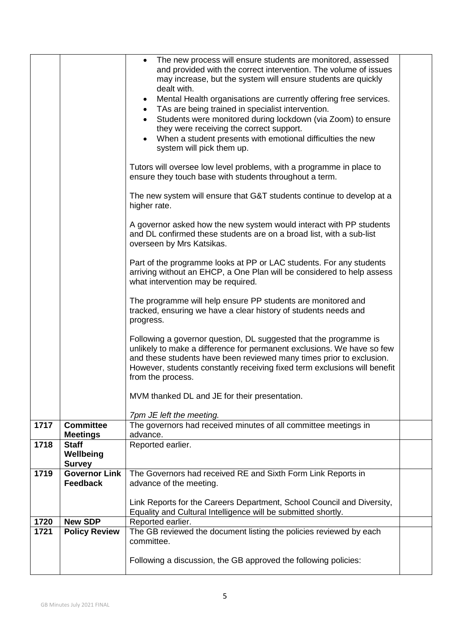| 1720<br>1721 | <b>New SDP</b><br><b>Policy Review</b>             | Equality and Cultural Intelligence will be submitted shortly.<br>Reported earlier.<br>The GB reviewed the document listing the policies reviewed by each<br>committee.                                                                                                                                                                 |
|--------------|----------------------------------------------------|----------------------------------------------------------------------------------------------------------------------------------------------------------------------------------------------------------------------------------------------------------------------------------------------------------------------------------------|
|              | <b>Feedback</b>                                    | advance of the meeting.<br>Link Reports for the Careers Department, School Council and Diversity,                                                                                                                                                                                                                                      |
| 1719         | Wellbeing<br><b>Survey</b><br><b>Governor Link</b> | The Governors had received RE and Sixth Form Link Reports in                                                                                                                                                                                                                                                                           |
| 1718         | <b>Meetings</b><br><b>Staff</b>                    | advance.<br>Reported earlier.                                                                                                                                                                                                                                                                                                          |
| 1717         | <b>Committee</b>                                   | 7pm JE left the meeting.<br>The governors had received minutes of all committee meetings in                                                                                                                                                                                                                                            |
|              |                                                    | MVM thanked DL and JE for their presentation.                                                                                                                                                                                                                                                                                          |
|              |                                                    | Following a governor question, DL suggested that the programme is<br>unlikely to make a difference for permanent exclusions. We have so few<br>and these students have been reviewed many times prior to exclusion.<br>However, students constantly receiving fixed term exclusions will benefit<br>from the process.                  |
|              |                                                    | The programme will help ensure PP students are monitored and<br>tracked, ensuring we have a clear history of students needs and<br>progress.                                                                                                                                                                                           |
|              |                                                    | Part of the programme looks at PP or LAC students. For any students<br>arriving without an EHCP, a One Plan will be considered to help assess<br>what intervention may be required.                                                                                                                                                    |
|              |                                                    | A governor asked how the new system would interact with PP students<br>and DL confirmed these students are on a broad list, with a sub-list<br>overseen by Mrs Katsikas.                                                                                                                                                               |
|              |                                                    | The new system will ensure that G&T students continue to develop at a<br>higher rate.                                                                                                                                                                                                                                                  |
|              |                                                    | Tutors will oversee low level problems, with a programme in place to<br>ensure they touch base with students throughout a term.                                                                                                                                                                                                        |
|              |                                                    | • Mental Health organisations are currently offering free services.<br>• TAs are being trained in specialist intervention.<br>• Students were monitored during lockdown (via Zoom) to ensure<br>they were receiving the correct support.<br>• When a student presents with emotional difficulties the new<br>system will pick them up. |
|              |                                                    | The new process will ensure students are monitored, assessed<br>and provided with the correct intervention. The volume of issues<br>may increase, but the system will ensure students are quickly<br>dealt with.                                                                                                                       |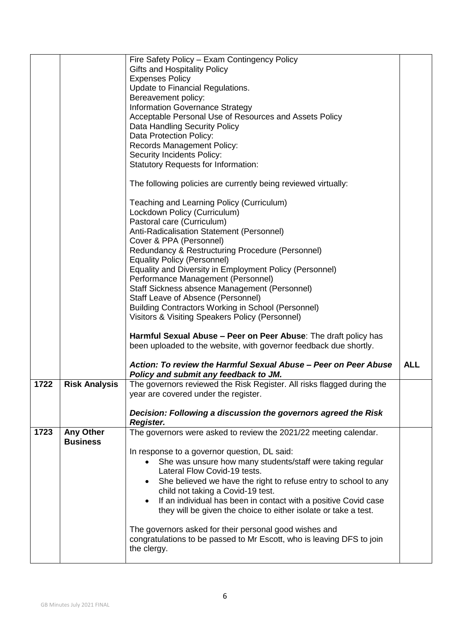|      |                              | Fire Safety Policy - Exam Contingency Policy                                                                                                    |            |
|------|------------------------------|-------------------------------------------------------------------------------------------------------------------------------------------------|------------|
|      |                              | <b>Gifts and Hospitality Policy</b><br><b>Expenses Policy</b>                                                                                   |            |
|      |                              | Update to Financial Regulations.                                                                                                                |            |
|      |                              | Bereavement policy:                                                                                                                             |            |
|      |                              | <b>Information Governance Strategy</b>                                                                                                          |            |
|      |                              | Acceptable Personal Use of Resources and Assets Policy                                                                                          |            |
|      |                              | Data Handling Security Policy                                                                                                                   |            |
|      |                              | Data Protection Policy:                                                                                                                         |            |
|      |                              | <b>Records Management Policy:</b>                                                                                                               |            |
|      |                              | <b>Security Incidents Policy:</b>                                                                                                               |            |
|      |                              | <b>Statutory Requests for Information:</b>                                                                                                      |            |
|      |                              | The following policies are currently being reviewed virtually:                                                                                  |            |
|      |                              | Teaching and Learning Policy (Curriculum)                                                                                                       |            |
|      |                              | Lockdown Policy (Curriculum)                                                                                                                    |            |
|      |                              | Pastoral care (Curriculum)                                                                                                                      |            |
|      |                              | Anti-Radicalisation Statement (Personnel)                                                                                                       |            |
|      |                              | Cover & PPA (Personnel)                                                                                                                         |            |
|      |                              | Redundancy & Restructuring Procedure (Personnel)<br>Equality Policy (Personnel)                                                                 |            |
|      |                              | Equality and Diversity in Employment Policy (Personnel)                                                                                         |            |
|      |                              | Performance Management (Personnel)                                                                                                              |            |
|      |                              | Staff Sickness absence Management (Personnel)                                                                                                   |            |
|      |                              | Staff Leave of Absence (Personnel)                                                                                                              |            |
|      |                              | <b>Building Contractors Working in School (Personnel)</b>                                                                                       |            |
|      |                              | Visitors & Visiting Speakers Policy (Personnel)                                                                                                 |            |
|      |                              |                                                                                                                                                 |            |
|      |                              | Harmful Sexual Abuse - Peer on Peer Abuse: The draft policy has                                                                                 |            |
|      |                              | been uploaded to the website, with governor feedback due shortly.                                                                               |            |
|      |                              | Action: To review the Harmful Sexual Abuse - Peer on Peer Abuse<br>Policy and submit any feedback to JM.                                        | <b>ALL</b> |
| 1722 | <b>Risk Analysis</b>         | The governors reviewed the Risk Register. All risks flagged during the                                                                          |            |
|      |                              | year are covered under the register.                                                                                                            |            |
|      |                              | Decision: Following a discussion the governors agreed the Risk<br>Register.                                                                     |            |
| 1723 | Any Other<br><b>Business</b> | The governors were asked to review the 2021/22 meeting calendar.                                                                                |            |
|      |                              | In response to a governor question, DL said:                                                                                                    |            |
|      |                              | She was unsure how many students/staff were taking regular                                                                                      |            |
|      |                              | Lateral Flow Covid-19 tests.                                                                                                                    |            |
|      |                              | She believed we have the right to refuse entry to school to any<br>child not taking a Covid-19 test.                                            |            |
|      |                              | If an individual has been in contact with a positive Covid case<br>$\bullet$<br>they will be given the choice to either isolate or take a test. |            |
|      |                              | The governors asked for their personal good wishes and<br>congratulations to be passed to Mr Escott, who is leaving DFS to join<br>the clergy.  |            |